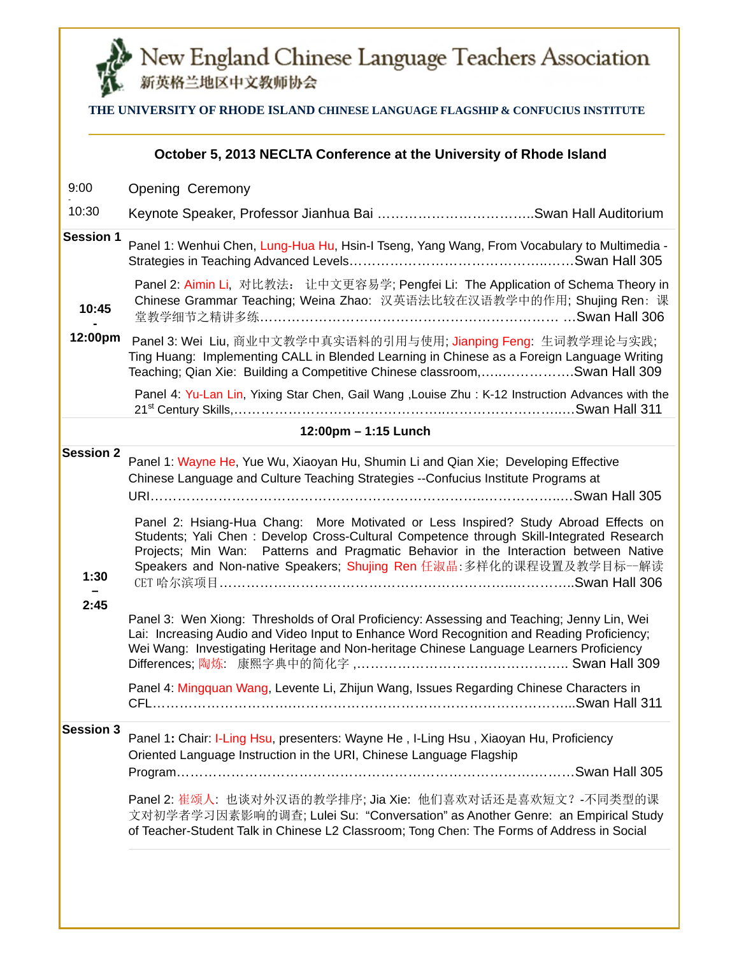

# New England Chinese Language Teachers Association

| THE UNIVERSITY OF RHODE ISLAND CHINESE LANGUAGE FLAGSHIP & CONFUCIUS INSTITUTE |  |
|--------------------------------------------------------------------------------|--|
|                                                                                |  |

|                                  | October 5, 2013 NECLTA Conference at the University of Rhode Island                                                                                                                                                                                                                                                                                                                                                                                                                                                                                                                                                                                                                                                                                                                                                                                                                                                                                                  |
|----------------------------------|----------------------------------------------------------------------------------------------------------------------------------------------------------------------------------------------------------------------------------------------------------------------------------------------------------------------------------------------------------------------------------------------------------------------------------------------------------------------------------------------------------------------------------------------------------------------------------------------------------------------------------------------------------------------------------------------------------------------------------------------------------------------------------------------------------------------------------------------------------------------------------------------------------------------------------------------------------------------|
| 9:00                             | <b>Opening Ceremony</b>                                                                                                                                                                                                                                                                                                                                                                                                                                                                                                                                                                                                                                                                                                                                                                                                                                                                                                                                              |
| 10:30                            |                                                                                                                                                                                                                                                                                                                                                                                                                                                                                                                                                                                                                                                                                                                                                                                                                                                                                                                                                                      |
| <b>Session 1</b>                 | Panel 1: Wenhui Chen, Lung-Hua Hu, Hsin-I Tseng, Yang Wang, From Vocabulary to Multimedia -                                                                                                                                                                                                                                                                                                                                                                                                                                                                                                                                                                                                                                                                                                                                                                                                                                                                          |
| 10:45                            | Panel 2: Aimin Li, 对比教法: 让中文更容易学; Pengfei Li: The Application of Schema Theory in<br>Chinese Grammar Teaching; Weina Zhao: 汉英语法比较在汉语教学中的作用; Shujing Ren: 课                                                                                                                                                                                                                                                                                                                                                                                                                                                                                                                                                                                                                                                                                                                                                                                                           |
| 12:00pm                          | Panel 3: Wei Liu, 商业中文教学中真实语料的引用与使用; Jianping Feng: 生词教学理论与实践;<br>Ting Huang: Implementing CALL in Blended Learning in Chinese as a Foreign Language Writing<br>Teaching; Qian Xie: Building a Competitive Chinese classroom,Swan Hall 309                                                                                                                                                                                                                                                                                                                                                                                                                                                                                                                                                                                                                                                                                                                           |
|                                  | Panel 4: Yu-Lan Lin, Yixing Star Chen, Gail Wang , Louise Zhu: K-12 Instruction Advances with the                                                                                                                                                                                                                                                                                                                                                                                                                                                                                                                                                                                                                                                                                                                                                                                                                                                                    |
|                                  | 12:00pm - 1:15 Lunch                                                                                                                                                                                                                                                                                                                                                                                                                                                                                                                                                                                                                                                                                                                                                                                                                                                                                                                                                 |
| <b>Session 2</b><br>1:30<br>2:45 | Panel 1: Wayne He, Yue Wu, Xiaoyan Hu, Shumin Li and Qian Xie; Developing Effective<br>Chinese Language and Culture Teaching Strategies --Confucius Institute Programs at<br>Panel 2: Hsiang-Hua Chang: More Motivated or Less Inspired? Study Abroad Effects on<br>Students; Yali Chen : Develop Cross-Cultural Competence through Skill-Integrated Research<br>Projects; Min Wan: Patterns and Pragmatic Behavior in the Interaction between Native<br>Speakers and Non-native Speakers; Shujing Ren 任淑晶:多样化的课程设置及教学目标一解读<br>CET 哈尔滨项目……………………………………………………………………………Swan Hall 306<br>Panel 3: Wen Xiong: Thresholds of Oral Proficiency: Assessing and Teaching; Jenny Lin, Wei<br>Lai: Increasing Audio and Video Input to Enhance Word Recognition and Reading Proficiency;<br>Wei Wang: Investigating Heritage and Non-heritage Chinese Language Learners Proficiency<br>Panel 4: Mingquan Wang, Levente Li, Zhijun Wang, Issues Regarding Chinese Characters in |
|                                  |                                                                                                                                                                                                                                                                                                                                                                                                                                                                                                                                                                                                                                                                                                                                                                                                                                                                                                                                                                      |
| <b>Session 3</b>                 | Panel 1: Chair: I-Ling Hsu, presenters: Wayne He, I-Ling Hsu, Xiaoyan Hu, Proficiency<br>Oriented Language Instruction in the URI, Chinese Language Flagship<br>Panel 2: 崔颂人: 也谈对外汉语的教学排序; Jia Xie: 他们喜欢对话还是喜欢短文? -不同类型的课<br>文对初学者学习因素影响的调查; Lulei Su: "Conversation" as Another Genre: an Empirical Study<br>of Teacher-Student Talk in Chinese L2 Classroom; Tong Chen: The Forms of Address in Social                                                                                                                                                                                                                                                                                                                                                                                                                                                                                                                                                             |
|                                  |                                                                                                                                                                                                                                                                                                                                                                                                                                                                                                                                                                                                                                                                                                                                                                                                                                                                                                                                                                      |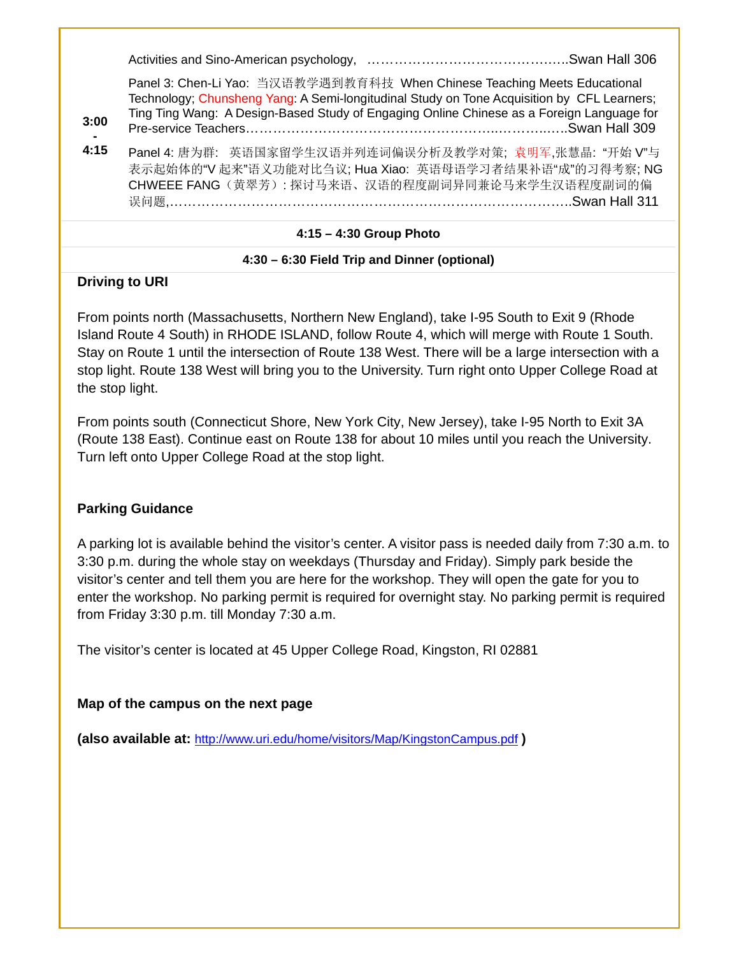|--|--|

Panel 3: Chen-Li Yao: 当汉语教学遇到教育科技 When Chinese Teaching Meets Educational Technology; Chunsheng Yang: A Semi-longitudinal Study on Tone Acquisition by CFL Learners; Ting Ting Wang: A Design-Based Study of Engaging Online Chinese as a Foreign Language for Pre-service Teachers………………………………………………..………..…..Swan Hall 309

**- 4:15**  Panel 4: 唐为群: 英语国家留学生汉语并列连词偏误分析及教学对策; 袁明军,张慧晶: "开始 V"与 表示起始体的"V 起来"语义功能对比刍议; Hua Xiao: 英语母语学习者结果补语"成"的习得考察; NG CHWEEE FANG(黄翠芳): 探讨马来语、汉语的程度副词异同兼论马来学生汉语程度副词的偏 误问题,…………………………………………………………………………………………Swan Hall 311

#### **4:15 – 4:30 Group Photo**

#### **4:30 – 6:30 Field Trip and Dinner (optional)**

#### **Driving to URI**

**3:00** 

From points north (Massachusetts, Northern New England), take I-95 South to Exit 9 (Rhode Island Route 4 South) in RHODE ISLAND, follow Route 4, which will merge with Route 1 South. Stay on Route 1 until the intersection of Route 138 West. There will be a large intersection with a stop light. Route 138 West will bring you to the University. Turn right onto Upper College Road at the stop light.

From points south (Connecticut Shore, New York City, New Jersey), take I-95 North to Exit 3A (Route 138 East). Continue east on Route 138 for about 10 miles until you reach the University. Turn left onto Upper College Road at the stop light.

#### **Parking Guidance**

A parking lot is available behind the visitor's center. A visitor pass is needed daily from 7:30 a.m. to 3:30 p.m. during the whole stay on weekdays (Thursday and Friday). Simply park beside the visitor's center and tell them you are here for the workshop. They will open the gate for you to enter the workshop. No parking permit is required for overnight stay. No parking permit is required from Friday 3:30 p.m. till Monday 7:30 a.m.

The visitor's center is located at 45 Upper College Road, Kingston, RI 02881

#### **Map of the campus on the next page**

**(also available at:** http://www.uri.edu/home/visitors/Map/KingstonCampus.pdf **)**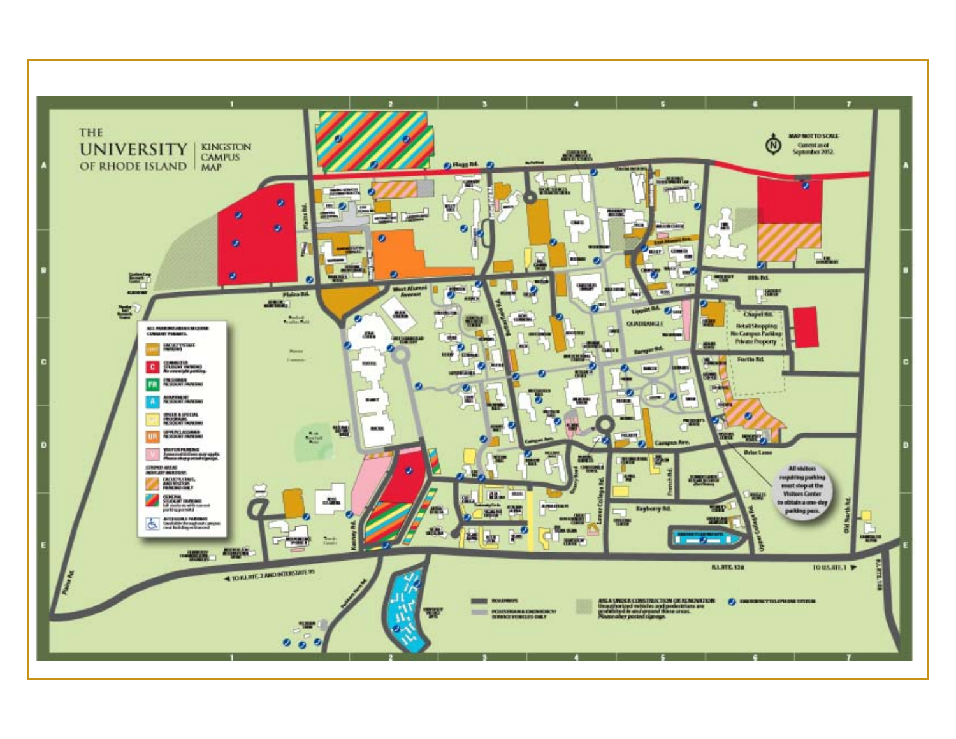